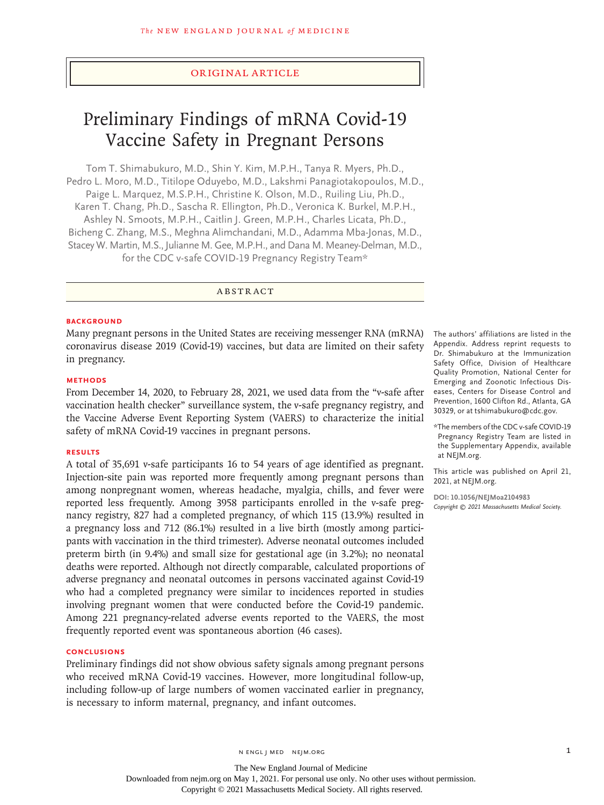# Original Article

# Preliminary Findings of mRNA Covid-19 Vaccine Safety in Pregnant Persons

Tom T. Shimabukuro, M.D., Shin Y. Kim, M.P.H., Tanya R. Myers, Ph.D., Pedro L. Moro, M.D., Titilope Oduyebo, M.D., Lakshmi Panagiotakopoulos, M.D., Paige L. Marquez, M.S.P.H., Christine K. Olson, M.D., Ruiling Liu, Ph.D., Karen T. Chang, Ph.D., Sascha R. Ellington, Ph.D., Veronica K. Burkel, M.P.H., Ashley N. Smoots, M.P.H., Caitlin J. Green, M.P.H., Charles Licata, Ph.D., Bicheng C. Zhang, M.S., Meghna Alimchandani, M.D., Adamma Mba-Jonas, M.D., Stacey W. Martin, M.S., Julianne M. Gee, M.P.H., and Dana M. Meaney-Delman, M.D., for the CDC v-safe COVID-19 Pregnancy Registry Team\*

# ABSTRACT

#### **BACKGROUND**

Many pregnant persons in the United States are receiving messenger RNA (mRNA) coronavirus disease 2019 (Covid-19) vaccines, but data are limited on their safety in pregnancy.

#### **METHODS**

From December 14, 2020, to February 28, 2021, we used data from the "v-safe after vaccination health checker" surveillance system, the v-safe pregnancy registry, and the Vaccine Adverse Event Reporting System (VAERS) to characterize the initial safety of mRNA Covid-19 vaccines in pregnant persons.

## **RESULTS**

A total of 35,691 v-safe participants 16 to 54 years of age identified as pregnant. Injection-site pain was reported more frequently among pregnant persons than among nonpregnant women, whereas headache, myalgia, chills, and fever were reported less frequently. Among 3958 participants enrolled in the v-safe pregnancy registry, 827 had a completed pregnancy, of which 115 (13.9%) resulted in a pregnancy loss and 712 (86.1%) resulted in a live birth (mostly among participants with vaccination in the third trimester). Adverse neonatal outcomes included preterm birth (in 9.4%) and small size for gestational age (in 3.2%); no neonatal deaths were reported. Although not directly comparable, calculated proportions of adverse pregnancy and neonatal outcomes in persons vaccinated against Covid-19 who had a completed pregnancy were similar to incidences reported in studies involving pregnant women that were conducted before the Covid-19 pandemic. Among 221 pregnancy-related adverse events reported to the VAERS, the most frequently reported event was spontaneous abortion (46 cases).

## **CONCLUSIONS**

Preliminary findings did not show obvious safety signals among pregnant persons who received mRNA Covid-19 vaccines. However, more longitudinal follow-up, including follow-up of large numbers of women vaccinated earlier in pregnancy, is necessary to inform maternal, pregnancy, and infant outcomes.

The authors' affiliations are listed in the Appendix. Address reprint requests to Dr. Shimabukuro at the Immunization Safety Office, Division of Healthcare Quality Promotion, National Center for Emerging and Zoonotic Infectious Diseases, Centers for Disease Control and Prevention, 1600 Clifton Rd., Atlanta, GA 30329, or at tshimabukuro@cdc.gov.

\*The members of the CDC v-safe COVID-19 Pregnancy Registry Team are listed in the Supplementary Appendix, available at NEJM.org.

This article was published on April 21, 2021, at NEJM.org.

**DOI: 10.1056/NEJMoa2104983** *Copyright © 2021 Massachusetts Medical Society.*

The New England Journal of Medicine Downloaded from nejm.org on May 1, 2021. For personal use only. No other uses without permission.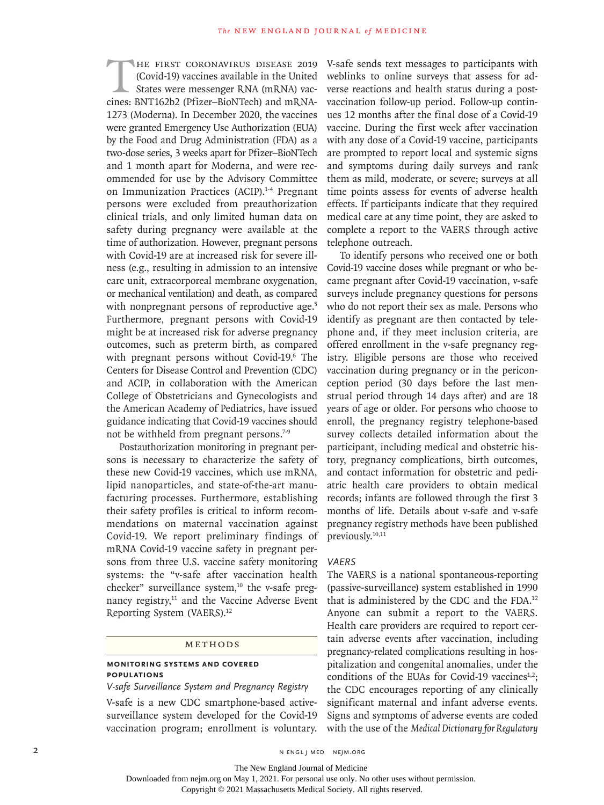HE FIRST CORONAVIRUS DISEASE 2019<br>(Covid-19) vaccines available in the United<br>States were messenger RNA (mRNA) vac-<br>cines: BNT162b2 (Pfizer-BioNTech) and mRNA-(Covid-19) vaccines available in the United States were messenger RNA (mRNA) vaccines: BNT162b2 (Pfizer–BioNTech) and mRNA-1273 (Moderna). In December 2020, the vaccines were granted Emergency Use Authorization (EUA) by the Food and Drug Administration (FDA) as a two-dose series, 3 weeks apart for Pfizer–BioNTech and 1 month apart for Moderna, and were recommended for use by the Advisory Committee on Immunization Practices (ACIP).<sup>1-4</sup> Pregnant persons were excluded from preauthorization clinical trials, and only limited human data on safety during pregnancy were available at the time of authorization. However, pregnant persons with Covid-19 are at increased risk for severe illness (e.g., resulting in admission to an intensive care unit, extracorporeal membrane oxygenation, or mechanical ventilation) and death, as compared with nonpregnant persons of reproductive age.<sup>5</sup> Furthermore, pregnant persons with Covid-19 might be at increased risk for adverse pregnancy outcomes, such as preterm birth, as compared with pregnant persons without Covid-19.6 The Centers for Disease Control and Prevention (CDC) and ACIP, in collaboration with the American College of Obstetricians and Gynecologists and the American Academy of Pediatrics, have issued guidance indicating that Covid-19 vaccines should not be withheld from pregnant persons.<sup>7-9</sup>

Postauthorization monitoring in pregnant persons is necessary to characterize the safety of these new Covid-19 vaccines, which use mRNA, lipid nanoparticles, and state-of-the-art manufacturing processes. Furthermore, establishing their safety profiles is critical to inform recommendations on maternal vaccination against Covid-19. We report preliminary findings of mRNA Covid-19 vaccine safety in pregnant persons from three U.S. vaccine safety monitoring systems: the "v-safe after vaccination health checker" surveillance system, $10$  the v-safe pregnancy registry,<sup>11</sup> and the Vaccine Adverse Event Reporting System (VAERS).12

#### Methods

# **Monitoring Systems and Covered Populations**

*V-safe Surveillance System and Pregnancy Registry*

V-safe is a new CDC smartphone-based activesurveillance system developed for the Covid-19 vaccination program; enrollment is voluntary.

V-safe sends text messages to participants with weblinks to online surveys that assess for adverse reactions and health status during a postvaccination follow-up period. Follow-up continues 12 months after the final dose of a Covid-19 vaccine. During the first week after vaccination with any dose of a Covid-19 vaccine, participants are prompted to report local and systemic signs and symptoms during daily surveys and rank them as mild, moderate, or severe; surveys at all time points assess for events of adverse health effects. If participants indicate that they required medical care at any time point, they are asked to complete a report to the VAERS through active telephone outreach.

To identify persons who received one or both Covid-19 vaccine doses while pregnant or who became pregnant after Covid-19 vaccination, v-safe surveys include pregnancy questions for persons who do not report their sex as male. Persons who identify as pregnant are then contacted by telephone and, if they meet inclusion criteria, are offered enrollment in the v-safe pregnancy registry. Eligible persons are those who received vaccination during pregnancy or in the periconception period (30 days before the last menstrual period through 14 days after) and are 18 years of age or older. For persons who choose to enroll, the pregnancy registry telephone-based survey collects detailed information about the participant, including medical and obstetric history, pregnancy complications, birth outcomes, and contact information for obstetric and pediatric health care providers to obtain medical records; infants are followed through the first 3 months of life. Details about v-safe and v-safe pregnancy registry methods have been published previously.10,11

#### *VAERS*

The VAERS is a national spontaneous-reporting (passive-surveillance) system established in 1990 that is administered by the CDC and the FDA.12 Anyone can submit a report to the VAERS. Health care providers are required to report certain adverse events after vaccination, including pregnancy-related complications resulting in hospitalization and congenital anomalies, under the conditions of the EUAs for Covid-19 vaccines $1,2$ ; the CDC encourages reporting of any clinically significant maternal and infant adverse events. Signs and symptoms of adverse events are coded with the use of the *Medical Dictionary for Regulatory* 

2 N ENGL J MED NEJM.ORG

The New England Journal of Medicine

Downloaded from nejm.org on May 1, 2021. For personal use only. No other uses without permission.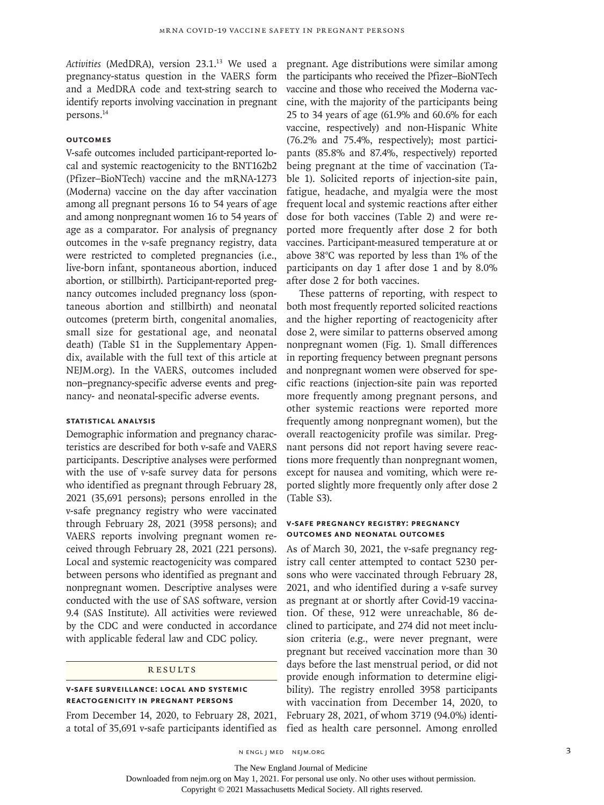Activities (MedDRA), version 23.1.<sup>13</sup> We used a pregnancy-status question in the VAERS form and a MedDRA code and text-string search to identify reports involving vaccination in pregnant persons.14

# **Outcomes**

V-safe outcomes included participant-reported local and systemic reactogenicity to the BNT162b2 (Pfizer–BioNTech) vaccine and the mRNA-1273 (Moderna) vaccine on the day after vaccination among all pregnant persons 16 to 54 years of age and among nonpregnant women 16 to 54 years of age as a comparator. For analysis of pregnancy outcomes in the v-safe pregnancy registry, data were restricted to completed pregnancies (i.e., live-born infant, spontaneous abortion, induced abortion, or stillbirth). Participant-reported pregnancy outcomes included pregnancy loss (spontaneous abortion and stillbirth) and neonatal outcomes (preterm birth, congenital anomalies, small size for gestational age, and neonatal death) (Table S1 in the Supplementary Appendix, available with the full text of this article at NEJM.org). In the VAERS, outcomes included non–pregnancy-specific adverse events and pregnancy- and neonatal-specific adverse events.

# **Statistical Analysis**

Demographic information and pregnancy characteristics are described for both v-safe and VAERS participants. Descriptive analyses were performed with the use of v-safe survey data for persons who identified as pregnant through February 28, 2021 (35,691 persons); persons enrolled in the v-safe pregnancy registry who were vaccinated through February 28, 2021 (3958 persons); and VAERS reports involving pregnant women received through February 28, 2021 (221 persons). Local and systemic reactogenicity was compared between persons who identified as pregnant and nonpregnant women. Descriptive analyses were conducted with the use of SAS software, version 9.4 (SAS Institute). All activities were reviewed by the CDC and were conducted in accordance with applicable federal law and CDC policy.

#### **RESULTS**

# **V-safe Surveillance: Local and Systemic Reactogenicity in Pregnant Persons**

From December 14, 2020, to February 28, 2021, a total of 35,691 v-safe participants identified as pregnant. Age distributions were similar among the participants who received the Pfizer–BioNTech vaccine and those who received the Moderna vaccine, with the majority of the participants being 25 to 34 years of age (61.9% and 60.6% for each vaccine, respectively) and non-Hispanic White (76.2% and 75.4%, respectively); most participants (85.8% and 87.4%, respectively) reported being pregnant at the time of vaccination (Table 1). Solicited reports of injection-site pain, fatigue, headache, and myalgia were the most frequent local and systemic reactions after either dose for both vaccines (Table 2) and were reported more frequently after dose 2 for both vaccines. Participant-measured temperature at or above 38°C was reported by less than 1% of the participants on day 1 after dose 1 and by 8.0% after dose 2 for both vaccines.

These patterns of reporting, with respect to both most frequently reported solicited reactions and the higher reporting of reactogenicity after dose 2, were similar to patterns observed among nonpregnant women (Fig. 1). Small differences in reporting frequency between pregnant persons and nonpregnant women were observed for specific reactions (injection-site pain was reported more frequently among pregnant persons, and other systemic reactions were reported more frequently among nonpregnant women), but the overall reactogenicity profile was similar. Pregnant persons did not report having severe reactions more frequently than nonpregnant women, except for nausea and vomiting, which were reported slightly more frequently only after dose 2 (Table S3).

## **V-safe Pregnancy Registry: Pregnancy Outcomes and Neonatal Outcomes**

As of March 30, 2021, the v-safe pregnancy registry call center attempted to contact 5230 persons who were vaccinated through February 28, 2021, and who identified during a v-safe survey as pregnant at or shortly after Covid-19 vaccination. Of these, 912 were unreachable, 86 declined to participate, and 274 did not meet inclusion criteria (e.g., were never pregnant, were pregnant but received vaccination more than 30 days before the last menstrual period, or did not provide enough information to determine eligibility). The registry enrolled 3958 participants with vaccination from December 14, 2020, to February 28, 2021, of whom 3719 (94.0%) identified as health care personnel. Among enrolled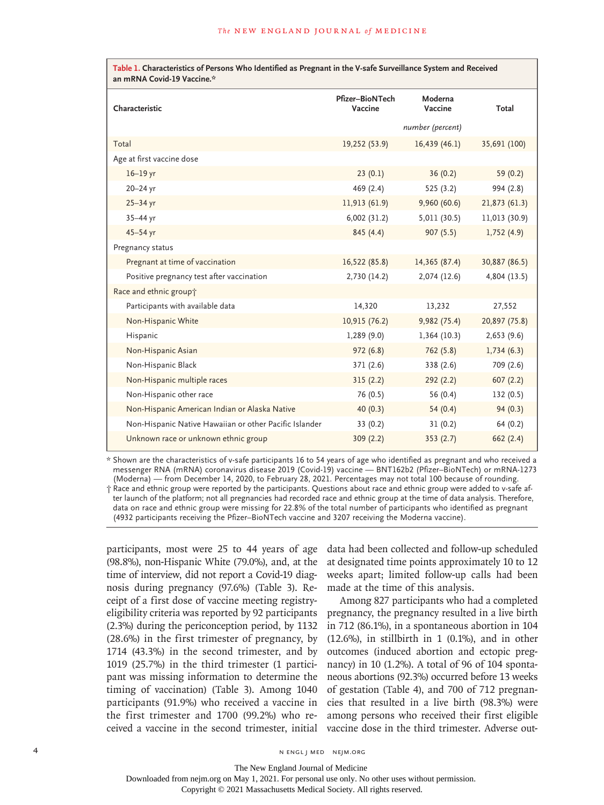| Table 1. Characteristics of Persons Who Identified as Pregnant in the V-safe Surveillance System and Received<br>an mRNA Covid-19 Vaccine.* |                                   |                    |               |  |
|---------------------------------------------------------------------------------------------------------------------------------------------|-----------------------------------|--------------------|---------------|--|
| Characteristic                                                                                                                              | <b>Pfizer-BioNTech</b><br>Vaccine | Moderna<br>Vaccine | Total         |  |
|                                                                                                                                             |                                   | number (percent)   |               |  |
| Total                                                                                                                                       | 19,252 (53.9)                     | 16,439(46.1)       | 35,691 (100)  |  |
| Age at first vaccine dose                                                                                                                   |                                   |                    |               |  |
| $16-19$ yr                                                                                                                                  | 23(0.1)                           | 36(0.2)            | 59 $(0.2)$    |  |
| $20 - 24$ yr                                                                                                                                | 469(2.4)                          | 525(3.2)           | 994 (2.8)     |  |
| $25 - 34$ yr                                                                                                                                | 11,913 (61.9)                     | 9,960(60.6)        | 21,873(61.3)  |  |
| $35 - 44$ yr                                                                                                                                | 6,002(31.2)                       | 5,011 (30.5)       | 11,013 (30.9) |  |
| $45 - 54$ yr                                                                                                                                | 845 (4.4)                         | 907(5.5)           | 1,752(4.9)    |  |
| Pregnancy status                                                                                                                            |                                   |                    |               |  |
| Pregnant at time of vaccination                                                                                                             | 16,522 (85.8)                     | 14,365 (87.4)      | 30,887 (86.5) |  |
| Positive pregnancy test after vaccination                                                                                                   | 2,730 (14.2)                      | 2,074 (12.6)       | 4,804 (13.5)  |  |
| Race and ethnic group+                                                                                                                      |                                   |                    |               |  |
| Participants with available data                                                                                                            | 14,320                            | 13,232             | 27,552        |  |
| Non-Hispanic White                                                                                                                          | 10,915 (76.2)                     | 9,982 (75.4)       | 20,897 (75.8) |  |
| Hispanic                                                                                                                                    | 1,289(9.0)                        | 1,364(10.3)        | 2,653(9.6)    |  |
| Non-Hispanic Asian                                                                                                                          | 972(6.8)                          | 762 (5.8)          | 1,734(6.3)    |  |
| Non-Hispanic Black                                                                                                                          | 371 (2.6)                         | 338 (2.6)          | 709 (2.6)     |  |
| Non-Hispanic multiple races                                                                                                                 | 315(2.2)                          | 292(2.2)           | 607(2.2)      |  |
| Non-Hispanic other race                                                                                                                     | 76 (0.5)                          | 56 (0.4)           | 132(0.5)      |  |
| Non-Hispanic American Indian or Alaska Native                                                                                               | 40(0.3)                           | 54(0.4)            | 94(0.3)       |  |
| Non-Hispanic Native Hawaiian or other Pacific Islander                                                                                      | 33(0.2)                           | 31(0.2)            | 64(0.2)       |  |
| Unknown race or unknown ethnic group                                                                                                        | 309(2.2)                          | 353(2.7)           | 662(2.4)      |  |

\* Shown are the characteristics of v-safe participants 16 to 54 years of age who identified as pregnant and who received a messenger RNA (mRNA) coronavirus disease 2019 (Covid-19) vaccine — BNT162b2 (Pfizer–BioNTech) or mRNA-1273 (Moderna) — from December 14, 2020, to February 28, 2021. Percentages may not total 100 because of rounding.

† Race and ethnic group were reported by the participants. Questions about race and ethnic group were added to v-safe after launch of the platform; not all pregnancies had recorded race and ethnic group at the time of data analysis. Therefore, data on race and ethnic group were missing for 22.8% of the total number of participants who identified as pregnant (4932 participants receiving the Pfizer–BioNTech vaccine and 3207 receiving the Moderna vaccine).

participants, most were 25 to 44 years of age (98.8%), non-Hispanic White (79.0%), and, at the time of interview, did not report a Covid-19 diagnosis during pregnancy (97.6%) (Table 3). Receipt of a first dose of vaccine meeting registryeligibility criteria was reported by 92 participants (2.3%) during the periconception period, by 1132 (28.6%) in the first trimester of pregnancy, by 1714 (43.3%) in the second trimester, and by 1019 (25.7%) in the third trimester (1 participant was missing information to determine the timing of vaccination) (Table 3). Among 1040 participants (91.9%) who received a vaccine in the first trimester and 1700 (99.2%) who received a vaccine in the second trimester, initial vaccine dose in the third trimester. Adverse out-

data had been collected and follow-up scheduled at designated time points approximately 10 to 12 weeks apart; limited follow-up calls had been made at the time of this analysis.

Among 827 participants who had a completed pregnancy, the pregnancy resulted in a live birth in 712 (86.1%), in a spontaneous abortion in 104  $(12.6\%)$ , in stillbirth in 1  $(0.1\%)$ , and in other outcomes (induced abortion and ectopic pregnancy) in 10 (1.2%). A total of 96 of 104 spontaneous abortions (92.3%) occurred before 13 weeks of gestation (Table 4), and 700 of 712 pregnancies that resulted in a live birth (98.3%) were among persons who received their first eligible

The New England Journal of Medicine

Downloaded from nejm.org on May 1, 2021. For personal use only. No other uses without permission.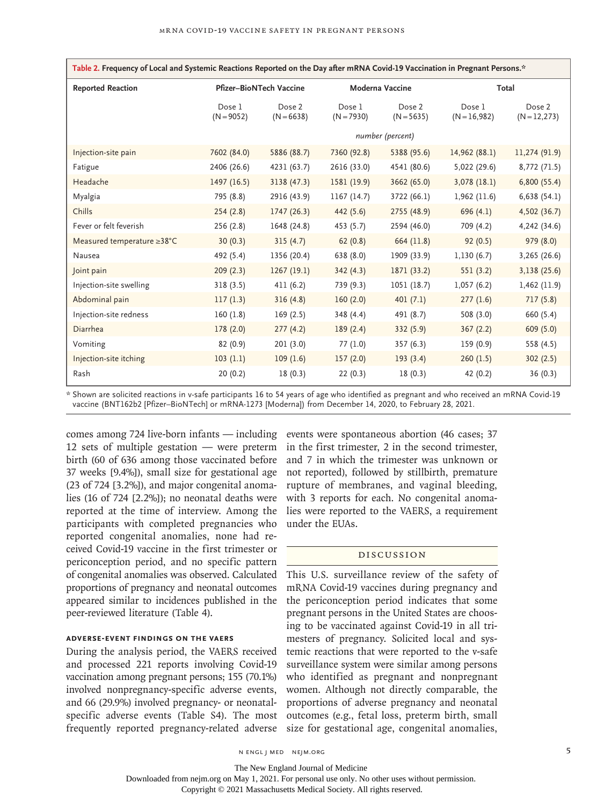| Table 2. Frequency of Local and Systemic Reactions Reported on the Day after mRNA Covid-19 Vaccination in Pregnant Persons.* |                        |                         |                        |                        |                          |                           |
|------------------------------------------------------------------------------------------------------------------------------|------------------------|-------------------------|------------------------|------------------------|--------------------------|---------------------------|
| <b>Reported Reaction</b>                                                                                                     |                        | Pfizer-BioNTech Vaccine | Moderna Vaccine        |                        | Total                    |                           |
|                                                                                                                              | Dose 1<br>$(N = 9052)$ | Dose 2<br>$(N = 6638)$  | Dose 1<br>$(N = 7930)$ | Dose 2<br>$(N = 5635)$ | Dose 1<br>$(N = 16,982)$ | Dose 2<br>$(N = 12, 273)$ |
|                                                                                                                              |                        |                         |                        | number (percent)       |                          |                           |
| Injection-site pain                                                                                                          | 7602 (84.0)            | 5886 (88.7)             | 7360 (92.8)            | 5388 (95.6)            | 14,962 (88.1)            | 11,274 (91.9)             |
| Fatigue                                                                                                                      | 2406 (26.6)            | 4231 (63.7)             | 2616 (33.0)            | 4541 (80.6)            | 5,022 (29.6)             | 8,772 (71.5)              |
| Headache                                                                                                                     | 1497 (16.5)            | 3138 (47.3)             | 1581 (19.9)            | 3662 (65.0)            | 3,078(18.1)              | 6,800(55.4)               |
| Myalgia                                                                                                                      | 795 (8.8)              | 2916 (43.9)             | 1167 (14.7)            | 3722 (66.1)            | 1,962 (11.6)             | 6,638(54.1)               |
| Chills                                                                                                                       | 254(2.8)               | 1747 (26.3)             | 442 (5.6)              | 2755 (48.9)            | 696(4.1)                 | 4,502 (36.7)              |
| Fever or felt feverish                                                                                                       | 256 (2.8)              | 1648 (24.8)             | 453 (5.7)              | 2594 (46.0)            | 709 (4.2)                | 4,242 (34.6)              |
| Measured temperature ≥38°C                                                                                                   | 30(0.3)                | 315(4.7)                | 62(0.8)                | 664 (11.8)             | 92(0.5)                  | 979 (8.0)                 |
| Nausea                                                                                                                       | 492 (5.4)              | 1356 (20.4)             | 638 (8.0)              | 1909 (33.9)            | 1,130(6.7)               | 3,265 (26.6)              |
| Joint pain                                                                                                                   | 209(2.3)               | 1267 (19.1)             | 342(4.3)               | 1871 (33.2)            | 551(3.2)                 | 3,138 (25.6)              |
| Injection-site swelling                                                                                                      | 318 (3.5)              | 411(6.2)                | 739 (9.3)              | 1051 (18.7)            | 1,057(6.2)               | 1,462 (11.9)              |
| Abdominal pain                                                                                                               | 117(1.3)               | 316(4.8)                | 160(2.0)               | 401(7.1)               | 277(1.6)                 | 717(5.8)                  |
| Injection-site redness                                                                                                       | 160(1.8)               | 169(2.5)                | 348 (4.4)              | 491 (8.7)              | 508 (3.0)                | 660 (5.4)                 |
| Diarrhea                                                                                                                     | 178(2.0)               | 277(4.2)                | 189(2.4)               | 332 (5.9)              | 367(2.2)                 | 609(5.0)                  |
| Vomiting                                                                                                                     | 82(0.9)                | 201(3.0)                | 77 (1.0)               | 357(6.3)               | 159 (0.9)                | 558 (4.5)                 |
| Injection-site itching                                                                                                       | 103(1.1)               | 109(1.6)                | 157(2.0)               | 193(3.4)               | 260(1.5)                 | 302(2.5)                  |
| Rash                                                                                                                         | 20(0.2)                | 18(0.3)                 | 22(0.3)                | 18(0.3)                | 42 (0.2)                 | 36(0.3)                   |

\* Shown are solicited reactions in v-safe participants 16 to 54 years of age who identified as pregnant and who received an mRNA Covid-19 vaccine (BNT162b2 [Pfizer–BioNTech] or mRNA-1273 [Moderna]) from December 14, 2020, to February 28, 2021.

12 sets of multiple gestation — were preterm birth (60 of 636 among those vaccinated before 37 weeks [9.4%]), small size for gestational age (23 of 724 [3.2%]), and major congenital anomalies (16 of 724 [2.2%]); no neonatal deaths were reported at the time of interview. Among the participants with completed pregnancies who reported congenital anomalies, none had received Covid-19 vaccine in the first trimester or periconception period, and no specific pattern of congenital anomalies was observed. Calculated proportions of pregnancy and neonatal outcomes appeared similar to incidences published in the peer-reviewed literature (Table 4).

# **Adverse-Event Findings on the VAERS**

During the analysis period, the VAERS received and processed 221 reports involving Covid-19 vaccination among pregnant persons; 155 (70.1%) involved nonpregnancy-specific adverse events, and 66 (29.9%) involved pregnancy- or neonatalspecific adverse events (Table S4). The most frequently reported pregnancy-related adverse

comes among 724 live-born infants — including events were spontaneous abortion (46 cases; 37 in the first trimester, 2 in the second trimester, and 7 in which the trimester was unknown or not reported), followed by stillbirth, premature rupture of membranes, and vaginal bleeding, with 3 reports for each. No congenital anomalies were reported to the VAERS, a requirement under the EUAs.

# Discussion

This U.S. surveillance review of the safety of mRNA Covid-19 vaccines during pregnancy and the periconception period indicates that some pregnant persons in the United States are choosing to be vaccinated against Covid-19 in all trimesters of pregnancy. Solicited local and systemic reactions that were reported to the v-safe surveillance system were similar among persons who identified as pregnant and nonpregnant women. Although not directly comparable, the proportions of adverse pregnancy and neonatal outcomes (e.g., fetal loss, preterm birth, small size for gestational age, congenital anomalies,

n engl j med nejm.org 5

Downloaded from nejm.org on May 1, 2021. For personal use only. No other uses without permission.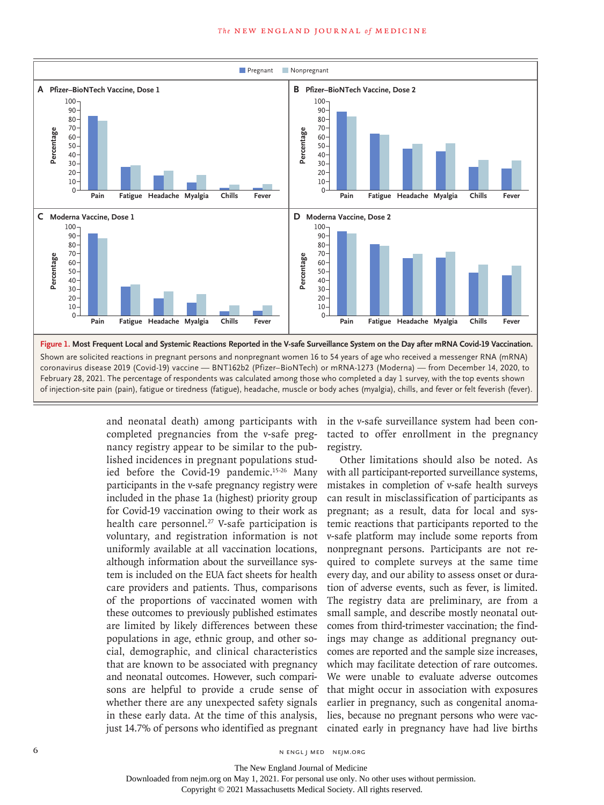

and neonatal death) among participants with completed pregnancies from the v-safe pregnancy registry appear to be similar to the published incidences in pregnant populations studied before the Covid-19 pandemic.15-26 Many participants in the v-safe pregnancy registry were included in the phase 1a (highest) priority group for Covid-19 vaccination owing to their work as health care personnel.<sup>27</sup> V-safe participation is voluntary, and registration information is not uniformly available at all vaccination locations, although information about the surveillance system is included on the EUA fact sheets for health care providers and patients. Thus, comparisons of the proportions of vaccinated women with these outcomes to previously published estimates are limited by likely differences between these populations in age, ethnic group, and other social, demographic, and clinical characteristics that are known to be associated with pregnancy and neonatal outcomes. However, such comparisons are helpful to provide a crude sense of whether there are any unexpected safety signals in these early data. At the time of this analysis, just 14.7% of persons who identified as pregnant

in the v-safe surveillance system had been contacted to offer enrollment in the pregnancy registry.

Other limitations should also be noted. As with all participant-reported surveillance systems, mistakes in completion of v-safe health surveys can result in misclassification of participants as pregnant; as a result, data for local and systemic reactions that participants reported to the v-safe platform may include some reports from nonpregnant persons. Participants are not required to complete surveys at the same time every day, and our ability to assess onset or duration of adverse events, such as fever, is limited. The registry data are preliminary, are from a small sample, and describe mostly neonatal outcomes from third-trimester vaccination; the findings may change as additional pregnancy outcomes are reported and the sample size increases, which may facilitate detection of rare outcomes. We were unable to evaluate adverse outcomes that might occur in association with exposures earlier in pregnancy, such as congenital anomalies, because no pregnant persons who were vaccinated early in pregnancy have had live births

Downloaded from nejm.org on May 1, 2021. For personal use only. No other uses without permission.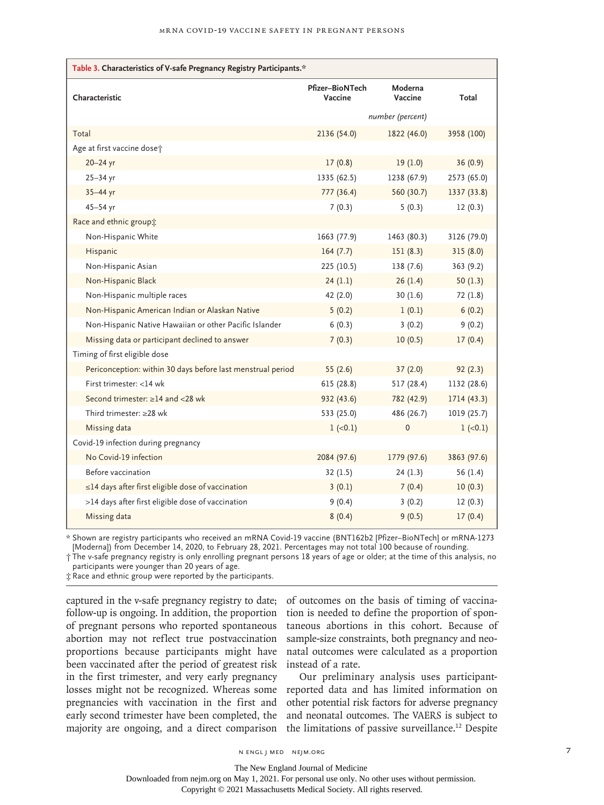| Table 3. Characteristics of V-safe Pregnancy Registry Participants.* |                            |                    |             |  |  |
|----------------------------------------------------------------------|----------------------------|--------------------|-------------|--|--|
| Characteristic                                                       | Pfizer-BioNTech<br>Vaccine | Moderna<br>Vaccine | Total       |  |  |
|                                                                      | number (percent)           |                    |             |  |  |
| Total                                                                | 2136 (54.0)                | 1822 (46.0)        | 3958 (100)  |  |  |
| Age at first vaccine doset                                           |                            |                    |             |  |  |
| 20-24 yr                                                             | 17(0.8)                    | 19(1.0)            | 36(0.9)     |  |  |
| $25 - 34$ yr                                                         | 1335 (62.5)                | 1238 (67.9)        | 2573 (65.0) |  |  |
| 35-44 yr                                                             | 777 (36.4)                 | 560 (30.7)         | 1337 (33.8) |  |  |
| $45 - 54$ yr                                                         | 7(0.3)                     | 5(0.3)             | 12(0.3)     |  |  |
| Race and ethnic group;                                               |                            |                    |             |  |  |
| Non-Hispanic White                                                   | 1663 (77.9)                | 1463 (80.3)        | 3126 (79.0) |  |  |
| Hispanic                                                             | 164(7.7)                   | 151(8.3)           | 315(8.0)    |  |  |
| Non-Hispanic Asian                                                   | 225 (10.5)                 | 138 (7.6)          | 363 (9.2)   |  |  |
| Non-Hispanic Black                                                   | 24(1.1)                    | 26(1.4)            | 50(1.3)     |  |  |
| Non-Hispanic multiple races                                          | 42 (2.0)                   | 30(1.6)            | 72 (1.8)    |  |  |
| Non-Hispanic American Indian or Alaskan Native                       | 5(0.2)                     | 1(0.1)             | 6(0.2)      |  |  |
| Non-Hispanic Native Hawaiian or other Pacific Islander               | 6(0.3)                     | 3(0.2)             | 9(0.2)      |  |  |
| Missing data or participant declined to answer                       | 7(0.3)                     | 10(0.5)            | 17(0.4)     |  |  |
| Timing of first eligible dose                                        |                            |                    |             |  |  |
| Periconception: within 30 days before last menstrual period          | 55(2.6)                    | 37(2.0)            | 92(2.3)     |  |  |
| First trimester: <14 wk                                              | 615 (28.8)                 | 517 (28.4)         | 1132 (28.6) |  |  |
| Second trimester: ≥14 and <28 wk                                     | 932 (43.6)                 | 782 (42.9)         | 1714 (43.3) |  |  |
| Third trimester: $\geq$ 28 wk                                        | 533 (25.0)                 | 486 (26.7)         | 1019 (25.7) |  |  |
| Missing data                                                         | $1 (-0.1)$                 | $\mathbf 0$        | $1 (-0.1)$  |  |  |
| Covid-19 infection during pregnancy                                  |                            |                    |             |  |  |
| No Covid-19 infection                                                | 2084 (97.6)                | 1779 (97.6)        | 3863 (97.6) |  |  |
| Before vaccination                                                   | 32(1.5)                    | 24(1.3)            | 56 $(1.4)$  |  |  |
| ≤14 days after first eligible dose of vaccination                    | 3(0.1)                     | 7(0.4)             | 10(0.3)     |  |  |
| >14 days after first eligible dose of vaccination                    | 9(0.4)                     | 3(0.2)             | 12(0.3)     |  |  |
| Missing data                                                         | 8(0.4)                     | 9(0.5)             | 17(0.4)     |  |  |

\* Shown are registry participants who received an mRNA Covid-19 vaccine (BNT162b2 [Pfizer–BioNTech] or mRNA-1273 [Moderna]) from December 14, 2020, to February 28, 2021. Percentages may not total 100 because of rounding.

† The v-safe pregnancy registry is only enrolling pregnant persons 18 years of age or older; at the time of this analysis, no participants were younger than 20 years of age.

‡ Race and ethnic group were reported by the participants.

captured in the v-safe pregnancy registry to date; follow-up is ongoing. In addition, the proportion of pregnant persons who reported spontaneous abortion may not reflect true postvaccination proportions because participants might have been vaccinated after the period of greatest risk in the first trimester, and very early pregnancy losses might not be recognized. Whereas some pregnancies with vaccination in the first and early second trimester have been completed, the majority are ongoing, and a direct comparison

of outcomes on the basis of timing of vaccination is needed to define the proportion of spontaneous abortions in this cohort. Because of sample-size constraints, both pregnancy and neonatal outcomes were calculated as a proportion instead of a rate.

Our preliminary analysis uses participantreported data and has limited information on other potential risk factors for adverse pregnancy and neonatal outcomes. The VAERS is subject to the limitations of passive surveillance.<sup>12</sup> Despite

n engl j med nejm.org 7

The New England Journal of Medicine

Downloaded from nejm.org on May 1, 2021. For personal use only. No other uses without permission.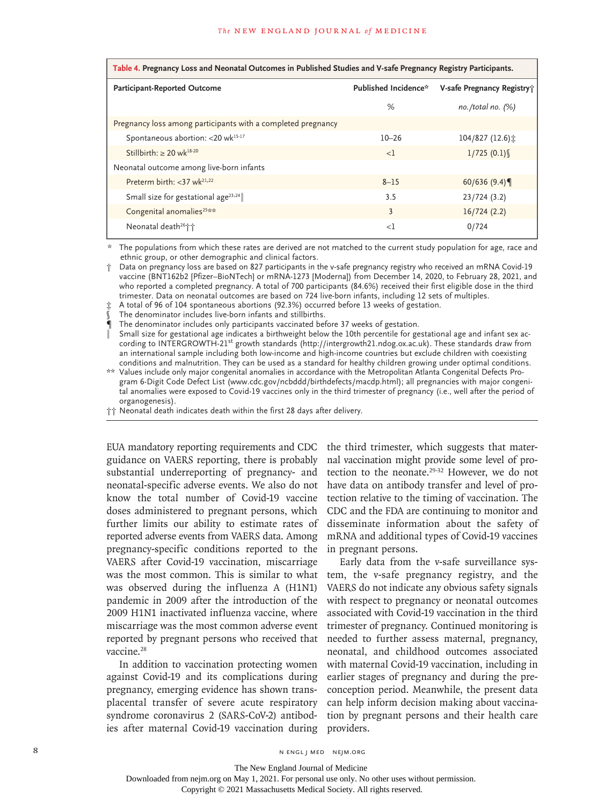| Table 4. Pregnancy Loss and Neonatal Outcomes in Published Studies and V-safe Pregnancy Registry Participants. |                      |                            |  |  |
|----------------------------------------------------------------------------------------------------------------|----------------------|----------------------------|--|--|
| Participant-Reported Outcome                                                                                   | Published Incidence* | V-safe Pregnancy Registry; |  |  |
|                                                                                                                | %                    | no./total no. $(%)$        |  |  |
| Pregnancy loss among participants with a completed pregnancy                                                   |                      |                            |  |  |
| Spontaneous abortion: < 20 wk <sup>15-17</sup>                                                                 | $10 - 26$            | 104/827 (12.6) $\pm$       |  |  |
| Stillbirth: $\geq 20$ wk <sup>18-20</sup>                                                                      | $\langle$ 1          | 1/725(0.1)                 |  |  |
| Neonatal outcome among live-born infants                                                                       |                      |                            |  |  |
| Preterm birth: $<$ 37 wk <sup>21,22</sup>                                                                      | $8 - 15$             | 60/636 $(9.4)$             |  |  |
| Small size for gestational age <sup>23,24</sup>                                                                | 3.5                  | 23/724(3.2)                |  |  |
| Congenital anomalies <sup>25**</sup>                                                                           | $\overline{3}$       | 16/724(2.2)                |  |  |
| Neonatal death <sup>26</sup> i <sup>+</sup>                                                                    | $<$ 1                | 0/724                      |  |  |

\* The populations from which these rates are derived are not matched to the current study population for age, race and ethnic group, or other demographic and clinical factors.

† Data on pregnancy loss are based on 827 participants in the v-safe pregnancy registry who received an mRNA Covid-19 vaccine (BNT162b2 [Pfizer–BioNTech] or mRNA-1273 [Moderna]) from December 14, 2020, to February 28, 2021, and who reported a completed pregnancy. A total of 700 participants (84.6%) received their first eligible dose in the third trimester. Data on neonatal outcomes are based on 724 live-born infants, including 12 sets of multiples.

A total of 96 of 104 spontaneous abortions (92.3%) occurred before 13 weeks of gestation.

The denominator includes live-born infants and stillbirths.

¶ The denominator includes only participants vaccinated before 37 weeks of gestation.

Small size for gestational age indicates a birthweight below the 10th percentile for gestational age and infant sex according to INTERGROWTH-21<sup>st</sup> growth standards (http://intergrowth21.ndog.ox.ac.uk). These standards draw from an international sample including both low-income and high-income countries but exclude children with coexisting conditions and malnutrition. They can be used as a standard for healthy children growing under optimal conditions.

\*\* Values include only major congenital anomalies in accordance with the Metropolitan Atlanta Congenital Defects Program 6-Digit Code Defect List (www.cdc.gov/ncbddd/birthdefects/macdp.html); all pregnancies with major congenital anomalies were exposed to Covid-19 vaccines only in the third trimester of pregnancy (i.e., well after the period of organogenesis).

†† Neonatal death indicates death within the first 28 days after delivery.

EUA mandatory reporting requirements and CDC guidance on VAERS reporting, there is probably substantial underreporting of pregnancy- and neonatal-specific adverse events. We also do not know the total number of Covid-19 vaccine doses administered to pregnant persons, which further limits our ability to estimate rates of reported adverse events from VAERS data. Among pregnancy-specific conditions reported to the VAERS after Covid-19 vaccination, miscarriage was the most common. This is similar to what was observed during the influenza A (H1N1) pandemic in 2009 after the introduction of the 2009 H1N1 inactivated influenza vaccine, where miscarriage was the most common adverse event reported by pregnant persons who received that vaccine.28

In addition to vaccination protecting women against Covid-19 and its complications during pregnancy, emerging evidence has shown transplacental transfer of severe acute respiratory syndrome coronavirus 2 (SARS-CoV-2) antibodies after maternal Covid-19 vaccination during

the third trimester, which suggests that maternal vaccination might provide some level of protection to the neonate.29-32 However, we do not have data on antibody transfer and level of protection relative to the timing of vaccination. The CDC and the FDA are continuing to monitor and disseminate information about the safety of mRNA and additional types of Covid-19 vaccines in pregnant persons.

Early data from the v-safe surveillance system, the v-safe pregnancy registry, and the VAERS do not indicate any obvious safety signals with respect to pregnancy or neonatal outcomes associated with Covid-19 vaccination in the third trimester of pregnancy. Continued monitoring is needed to further assess maternal, pregnancy, neonatal, and childhood outcomes associated with maternal Covid-19 vaccination, including in earlier stages of pregnancy and during the preconception period. Meanwhile, the present data can help inform decision making about vaccination by pregnant persons and their health care providers.

8 N ENGL J MED NEJM.ORG

The New England Journal of Medicine

Downloaded from nejm.org on May 1, 2021. For personal use only. No other uses without permission.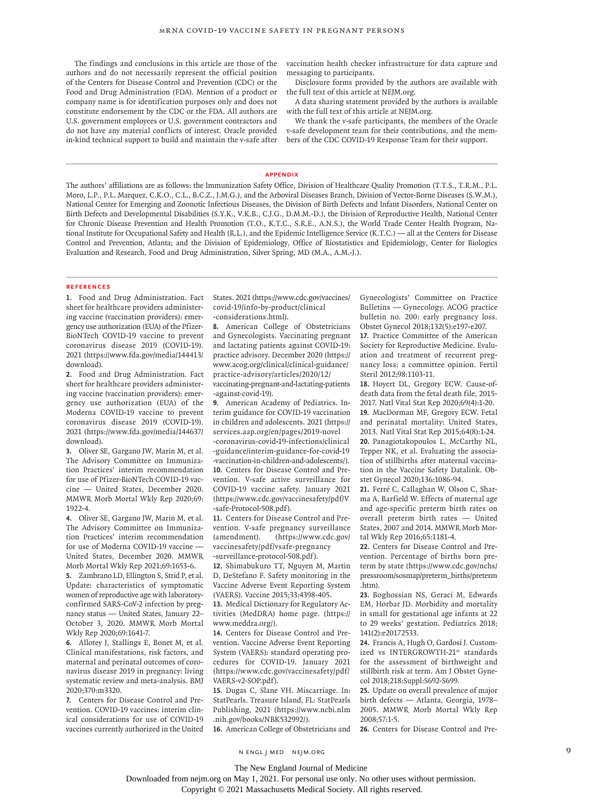The findings and conclusions in this article are those of the authors and do not necessarily represent the official position of the Centers for Disease Control and Prevention (CDC) or the Food and Drug Administration (FDA). Mention of a product or company name is for identification purposes only and does not constitute endorsement by the CDC or the FDA. All authors are U.S. government employees or U.S. government contractors and do not have any material conflicts of interest. Oracle provided in-kind technical support to build and maintain the v-safe after vaccination health checker infrastructure for data capture and messaging to participants.

Disclosure forms provided by the authors are available with the full text of this article at NEJM.org.

A data sharing statement provided by the authors is available with the full text of this article at NEJM.org.

We thank the v-safe participants, the members of the Oracle v-safe development team for their contributions, and the members of the CDC COVID-19 Response Team for their support.

#### **Appendix**

The authors' affiliations are as follows: the Immunization Safety Office, Division of Healthcare Quality Promotion (T.T.S., T.R.M., P.L. Moro, L.P., P.L. Marquez, C.K.O., C.L., B.C.Z., J.M.G.), and the Arboviral Diseases Branch, Division of Vector-Borne Diseases (S.W.M.), National Center for Emerging and Zoonotic Infectious Diseases, the Division of Birth Defects and Infant Disorders, National Center on Birth Defects and Developmental Disabilities (S.Y.K., V.K.B., C.J.G., D.M.M.-D.), the Division of Reproductive Health, National Center for Chronic Disease Prevention and Health Promotion (T.O., K.T.C., S.R.E., A.N.S.), the World Trade Center Health Program, National Institute for Occupational Safety and Health (R.L.), and the Epidemic Intelligence Service (K.T.C.) — all at the Centers for Disease Control and Prevention, Atlanta; and the Division of Epidemiology, Office of Biostatistics and Epidemiology, Center for Biologics Evaluation and Research, Food and Drug Administration, Silver Spring, MD (M.A., A.M.-J.).

#### **References**

**1.** Food and Drug Administration. Fact sheet for healthcare providers administering vaccine (vaccination providers): emergency use authorization (EUA) of the Pfizer-BioNTech COVID-19 vaccine to prevent coronavirus disease 2019 (COVID-19). 2021 (https://www.fda.gov/media/144413/ download).

**2.** Food and Drug Administration. Fact sheet for healthcare providers administering vaccine (vaccination providers): emergency use authorization (EUA) of the Moderna COVID-19 vaccine to prevent coronavirus disease 2019 (COVID-19). 2021 (https://www.fda.gov/media/144637/ download).

**3.** Oliver SE, Gargano JW, Marin M, et al. The Advisory Committee on Immunization Practices' interim recommendation for use of Pfizer-BioNTech COVID-19 vaccine — United States, December 2020. MMWR Morb Mortal Wkly Rep 2020;69: 1922-4.

**4.** Oliver SE, Gargano JW, Marin M, et al. The Advisory Committee on Immunization Practices' interim recommendation for use of Moderna COVID-19 vaccine -United States, December 2020. MMWR Morb Mortal Wkly Rep 2021;69:1653-6.

**5.** Zambrano LD, Ellington S, Strid P, et al. Update: characteristics of symptomatic women of reproductive age with laboratoryconfirmed SARS-CoV-2 infection by pregnancy status — United States, January 22– October 3, 2020. MMWR Morb Mortal Wkly Rep 2020;69:1641-7.

**6.** Allotey J, Stallings E, Bonet M, et al. Clinical manifestations, risk factors, and maternal and perinatal outcomes of coronavirus disease 2019 in pregnancy: living systematic review and meta-analysis. BMJ 2020;370:m3320.

**7.** Centers for Disease Control and Prevention. COVID-19 vaccines: interim clinical considerations for use of COVID-19 vaccines currently authorized in the United States. 2021 (https://www.cdc.gov/vaccines/ covid-19/info-by-product/clinical -considerations.html).

**8.** American College of Obstetricians and Gynecologists. Vaccinating pregnant and lactating patients against COVID-19: practice advisory. December 2020 (https:// www.acog.org/clinical/clinical-guidance/ practice-advisory/articles/2020/12/ vaccinating-pregnant-and-lactating-patients

-against-covid-19).

**9.** American Academy of Pediatrics. Interim guidance for COVID-19 vaccination in children and adolescents. 2021 (https:// services.aap.org/en/pages/2019-novel

-coronavirus-covid-19-infections/clinical -guidance/interim-guidance-for-covid-19 -vaccination-in-children-and-adolescents/). **10.** Centers for Disease Control and Prevention. V-safe active surveillance for COVID-19 vaccine safety. January 2021 (https://www.cdc.gov/vaccinesafety/pdf/V -safe-Protocol-508.pdf).

**11.** Centers for Disease Control and Prevention. V-safe pregnancy surveillance (amendment). (https://www.cdc.gov/ vaccinesafety/pdf/vsafe-pregnancy -surveillance-protocol-508.pdf).

**12.** Shimabukuro TT, Nguyen M, Martin D, DeStefano F. Safety monitoring in the Vaccine Adverse Event Reporting System (VAERS). Vaccine 2015;33:4398-405.

**13.** Medical Dictionary for Regulatory Activities (MedDRA) home page. (https:// www.meddra.org/).

**14.** Centers for Disease Control and Prevention. Vaccine Adverse Event Reporting System (VAERS): standard operating procedures for COVID-19. January 2021 (https://www.cdc.gov/vaccinesafety/pdf/ VAERS-v2-SOP.pdf).

**15.** Dugas C, Slane VH. Miscarriage. In: StatPearls. Treasure Island, FL: StatPearls Publishing, 2021 (https://www.ncbi.nlm .nih.gov/books/NBK532992/).

**16.** American College of Obstetricians and

Gynecologists' Committee on Practice Bulletins — Gynecology. ACOG practice bulletin no. 200: early pregnancy loss. Obstet Gynecol 2018;132(5):e197-e207.

**17.** Practice Committee of the American Society for Reproductive Medicine. Evaluation and treatment of recurrent pregnancy loss: a committee opinion. Fertil Steril 2012;98:1103-11.

**18.** Hoyert DL, Gregory ECW. Cause-ofdeath data from the fetal death file, 2015- 2017. Natl Vital Stat Rep 2020;69(4):1-20. **19.** MacDorman MF, Gregory ECW. Fetal and perinatal mortality: United States, 2013. Natl Vital Stat Rep 2015;64(8):1-24. **20.** Panagiotakopoulos L, McCarthy NL, Tepper NK, et al. Evaluating the association of stillbirths after maternal vaccination in the Vaccine Safety Datalink. Obstet Gynecol 2020;136:1086-94.

**21.** Ferré C, Callaghan W, Olson C, Sharma A, Barfield W. Effects of maternal age and age-specific preterm birth rates on overall preterm birth rates — United States, 2007 and 2014. MMWR Morb Mortal Wkly Rep 2016;65:1181-4.

**22.** Centers for Disease Control and Prevention. Percentage of births born preterm by state (https://www.cdc.gov/nchs/ pressroom/sosmap/preterm\_births/preterm .htm).

**23.** Boghossian NS, Geraci M, Edwards EM, Horbar JD. Morbidity and mortality in small for gestational age infants at 22 to 29 weeks' gestation. Pediatrics 2018; 141(2):e20172533.

**24.** Francis A, Hugh O, Gardosi J. Customized vs INTERGROWTH-21st standards for the assessment of birthweight and stillbirth risk at term. Am J Obstet Gynecol 2018;218:Suppl:S692-S699.

**25.** Update on overall prevalence of major birth defects — Atlanta, Georgia, 1978– 2005. MMWR Morb Mortal Wkly Rep 2008;57:1-5.

**26.** Centers for Disease Control and Pre-

n engl j med nejm.org 9

Downloaded from nejm.org on May 1, 2021. For personal use only. No other uses without permission.